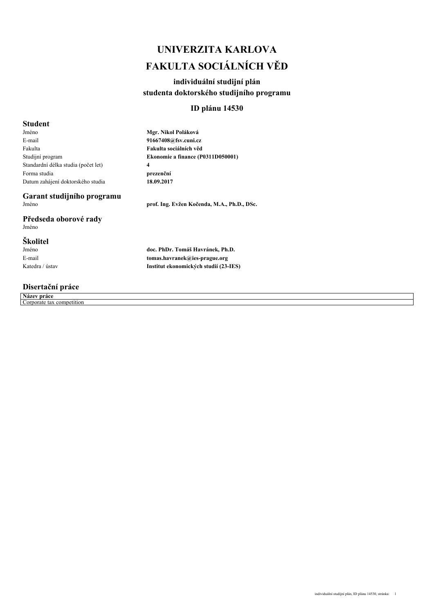## *UNIVERZITA KARLOVA FAKULTA SOCIÁLNÍCH VĚD*

## *individuální studijní plán studenta doktorského studijního programu*

## *ID plánu 14530*

### *Student*

*Jméno E-mail Fakulta Studijní program Standardní délka studia (počet let) Forma studia Datum zahájení doktorského studia* *Mgr. Nikol Poláková 91667408@fsv.cuni.cz Fakulta sociálních věd Ekonomie a finance (P0311D050001) 4 prezenční 18.09.2017*

# *Garant studijního programu*

*Předseda oborové rady Jméno*

## *Školitel*

*Jméno E-mail Katedra / ústav* *doc. PhDr. Tomáš Havránek, Ph.D. tomas.havranek@ies-prague.org*

*Institut ekonomických studií (23-IES)*

*Jméno prof. Ing. Evžen Kočenda, M.A., Ph.D., DSc.*

*Disertační práce*

*Název práce Corporate tax competition*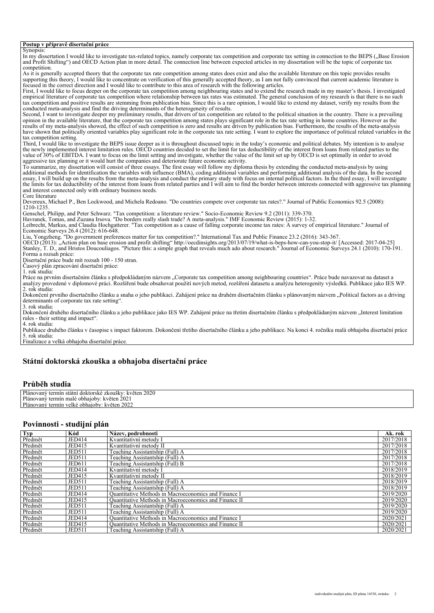#### *Postup v přípravě disertační práce*

*Synopsis:* In my dissertation I would like to investigate tax-related topics, namely corporate tax competition and corporate tax setting in connection to the BEPS ("Base Erosion *and Profit Shifting") and OECD Action plan in more detail. The connection line between expected articles in my dissertation will be the topic of corporate tax competition. As it is generally accepted theory that the corporate tax rate competition among states does exist and also the available literature on this topic provides results supporting this theory, I would like to concentrate on verification of this generally accepted theory, as I am not fully convinced that current academic literature is focused in the correct direction and I would like to contribute to this area of research with the following articles. First, I would like to focus deeper on the corporate tax competition among neighbouring states and to extend the research made in my master's thesis. I investigated empirical literature of corporate tax competition where relationship between tax rates was estimated. The general conclusion of my research is that there is no such tax competition and positive results are stemming from publication bias. Since this is a rare opinion, I would like to extend my dataset, verify my results from the conducted meta-analysis and find the driving determinants of the heterogeneity of results. Second, I want to investigate deeper my preliminary results, that drivers of tax competition are related to the political situation in the country. There is a prevailing opinion in the available literature, that the corporate tax competition among states plays significant role in the tax rate setting in home countries. However as the* results of my meta-analysis showed, the effect of such competition is zero and results are driven by publication bias. Furthermore, the results of the meta-analysis<br>have shown that politically oriented variables play signi *tax competition setting. Third, I would like to investigate the BEPS issue deeper as it is throughout discussed topic in the today's economic and political debates. My intention is to analyse the newly implemented interest limitation rules. OECD countries decided to set the limit for tax deductibility of the interest from loans from related parties to the value of 30% of EBITDA. I want to focus on the limit setting and investigate, whether the value of the limit set up by OECD is set optimally in order to avoid aggressive tax planning or it would hurt the companies and deteriorate future economic activity. To summarize, my dissertation will consist of three essays. The first essay will follow my diploma thesis by extending the conducted meta-analysis by using additional methods for identification the variables with influence (BMA), coding additional variables and performing additional analysis of the data. In the second essay, I will build up on the results from the meta-analysis and conduct the primary study with focus on internal political factors. In the third essay, I will investigate the limits for tax deductibility of the interest from loans from related parties and I will aim to find the border between interests connected with aggressive tax planning and interest connected only with ordinary business needs. Core literature Devereux, Michael P., Ben Lockwood, and Michela Redoano. "Do countries compete over corporate tax rates?." Journal of Public Economics 92.5 (2008): 1210-1235. Genschel, Philipp, and Peter Schwarz. "Tax competition: a literature review." Socio-Economic Review 9.2 (2011): 339-370. Havranek, Tomas, and Zuzana Irsova. "Do borders really slash trade? A meta-analysis." IMF Economic Review (2015): 1-32. Leibrecht, Markus, and Claudia Hochgatterer. "Tax competition as a cause of falling corporate income tax rates: A survey of empirical literature." Journal of Economic Surveys 26.4 (2012): 616-648. Liu, Yongzheng. "Do government preferences matter for tax competition?." International Tax and Public Finance 23.2 (2016): 343-367. OECD (2013): "Action plan on base erosion and profit shifting" http://oecdinsights.org/2013/07/19/what-is-beps-how-can-you-stop-it/ [Accessed: 2017-04-25] Stanley, T. D., and Hristos Doucouliagos. "Picture this: a simple graph that reveals much ado about research." Journal of Economic Surveys 24.1 (2010): 170-191. Forma a rozsah práce: Disertační práce bude mít rozsah 100 - 150 stran. Časový plán zpracování disertační práce: 1. rok studia: Práce na prvním disertačním článku s předpokládaným názvem "Corporate tax competition among neighbouring countries". Práce bude navazovat na dataset a analýzy provedené v diplomové práci. Rozšíření bude obsahovat použití nových metod, rozšíření datasetu a analýzu heterogenity výsledků. Publikace jako IES WP. 2. rok studia: Dokončení prvního disertačního článku a snaha o jeho publikaci. Zahájení práce na druhém disertačním článku s plánovaným názvem "Political factors as a driving determinants of corporate tax rate setting". 3. rok studia: Dokončení druhého disertačního článku a jeho publikace jako IES WP. Zahájení práce na třetím disertačním článku s předpokládaným názvem "Interest limitation rules - their setting and impact". 4. rok studia: Publikace druhého článku v časopise s impact faktorem. Dokončení třetího disertačního článku a jeho publikace. Na konci 4. ročníku malá obhajoba disertační práce 5. rok studia: Finalizace a velká obhajoba disertační práce. Státní doktorská zkouška a obhajoba disertační práce*

#### *Průběh studia*

| Plánovaný<br>2020<br>kveten<br>termin<br>i doktorske<br>ZKOUSKV. .<br>statn |
|-----------------------------------------------------------------------------|
| Plánovaný<br>202<br>aioby<br>™veten ≀<br>obh<br>termin<br>∟male             |
| Plánovaný<br>květen 2022<br>termin<br>velké obhajoby                        |

#### *Povinnosti - studijní plán*

| <b>Typ</b> | Kód           | Název, podrobnosti                                    | Ak. rok   |
|------------|---------------|-------------------------------------------------------|-----------|
| Předmět    | JED414        | Kvantitativní metody I                                | 2017/2018 |
| Předmět    | JED415        | Kvantitativní metody II                               | 2017/2018 |
| Předmět    | <b>JED511</b> | Teaching Assistantship (Full) A                       | 2017/2018 |
| Předmět    | <b>JED511</b> | Teaching Assistantship (Full) A                       | 2017/2018 |
| Předmět    | <b>JED611</b> | Teaching Assistantship (Full) B                       | 2017/2018 |
| Předmět    | JED414        | Kvantitativní metody I                                | 2018/2019 |
| Předmět    | JED415        | Kvantitativní metody II                               | 2018/2019 |
| Předmět    | <b>JED511</b> | Teaching Assistantship (Full) A                       | 2018/2019 |
| Předmět    | <b>JED511</b> | Teaching Assistantship (Full) A                       | 2018/2019 |
| Předmět    | JED414        | Quantitative Methods in Macroeconomics and Finance I  | 2019/2020 |
| Předmět    | JED415        | Quantitative Methods in Macroeconomics and Finance II | 2019/2020 |
| Předmět    | <b>JED511</b> | Teaching Assistantship (Full) A                       | 2019/2020 |
| Předmět    | <b>JED511</b> | Teaching Assistantship (Full) A                       | 2019/2020 |
| Předmět    | JED414        | Quantitative Methods in Macroeconomics and Finance I  | 2020/2021 |
| Předmět    | JED415        | Ouantitative Methods in Macroeconomics and Finance II | 2020/2021 |
| Předmět    | <b>JED511</b> | Teaching Assistantship (Full) A                       | 2020/2021 |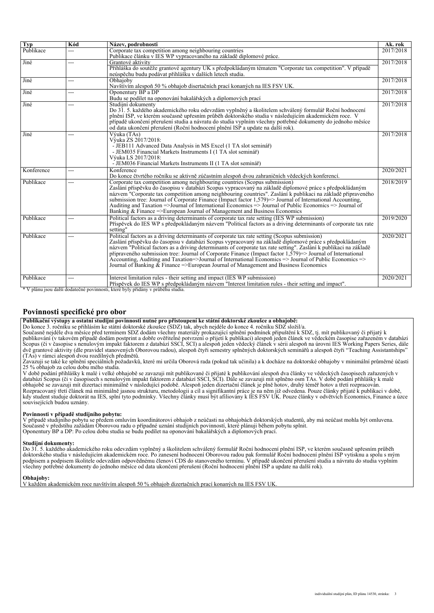| <b>Typ</b> | Kód            | Název, podrobnosti                                                                                                                                                                                                                                                                                                                                                                                                                                                                                                                                                                                                                                      | Ak. rok   |
|------------|----------------|---------------------------------------------------------------------------------------------------------------------------------------------------------------------------------------------------------------------------------------------------------------------------------------------------------------------------------------------------------------------------------------------------------------------------------------------------------------------------------------------------------------------------------------------------------------------------------------------------------------------------------------------------------|-----------|
| Publikace  | $\overline{a}$ | Corporate tax competition among neighbouring countries<br>Publikace článku v IES WP vypracovaného na základě diplomové práce.                                                                                                                                                                                                                                                                                                                                                                                                                                                                                                                           | 2017/2018 |
| Jiné       | $\overline{a}$ | Grantové aktivity<br>Přihláška do soutěže grantové agentury UK s předpokládaným tématem "Corporate tax competition". V případě<br>neúspěchu budu podávat přihlášku v dalších letech studia.                                                                                                                                                                                                                                                                                                                                                                                                                                                             | 2017/2018 |
| Jiné       | $---$          | Obhajoby<br>Navštívím alespoň 50 % obhajob disertačních prací konaných na IES FSV UK.                                                                                                                                                                                                                                                                                                                                                                                                                                                                                                                                                                   | 2017/2018 |
| Jiné       | ---            | Oponentury BP a DP<br>Budu se podílet na oponování bakalářských a diplomových prací                                                                                                                                                                                                                                                                                                                                                                                                                                                                                                                                                                     | 2017/2018 |
| Jiné       | ---            | Studijní dokumenty<br>Do 31, 5, každého akademického roku odevzdám vyplněný a školitelem schválený formulář Roční hodnocení<br>plnění ISP, ve kterém současně upřesním průběh doktorského studia v následujícím akademickém roce. V<br>případě ukončení přerušení studia a návratu do studia vyplním všechny potřebné dokumenty do jednoho měsíce<br>od data ukončení přerušení (Roční hodnocení plnění ISP a update na další rok).                                                                                                                                                                                                                     | 2017/2018 |
| Jiné       |                | Výuka (TAs)<br>Výuka ZS 2017/2018:<br>- JEB111 Advanced Data Analysis in MS Excel (1 TA slot seminář)<br>- JEM035 Financial Markets Instruments I (1 TA slot seminář)<br>Výuka LS 2017/2018:<br>- JEM036 Financial Markets Instruments II (1 TA slot seminář)                                                                                                                                                                                                                                                                                                                                                                                           | 2017/2018 |
| Konference | $---$          | Konference<br>Do konce čtvrtého ročníku se aktivně zúčastním alespoň dvou zahraničních vědeckých konferencí.                                                                                                                                                                                                                                                                                                                                                                                                                                                                                                                                            | 2020/2021 |
| Publikace  | $---$          | Corporate tax competition among neighbouring countries (Scopus submission)<br>Zaslání příspěvku do časopisu v databázi Scopus vypracovaný na základě diplomové práce s předpokládaným<br>názvem "Corporate tax competition among neighbouring countries". Zaslání k publikaci na základě připraveného<br>submission tree: Journal of Corporate Finance (Impact factor 1,579)=> Journal of International Accounting,<br>Auditing and Taxation =>Journal of International Economics => Journal of Public Economics => Journal of<br>Banking & Finance $\Rightarrow$ European Journal of Management and Business Economics                                 | 2018/2019 |
| Publikace  | ---            | Political factors as a driving determinants of corporate tax rate setting (IES WP submission)<br>Příspěvek do IES WP s předpokládaným názvem "Political factors as a driving determinants of corporate tax rate<br>setting"                                                                                                                                                                                                                                                                                                                                                                                                                             | 2019/2020 |
| Publikace  | ---            | Political factors as a driving determinants of corporate tax rate setting (Scopus submission)<br>Zaslání příspěvku do časopisu v databázi Scopus vypracovaný na základě diplomové práce s předpokládaným<br>názvem "Political factors as a driving determinants of corporate tax rate setting". Zaslání k publikaci na základě<br>připraveného submission tree: Journal of Corporate Finance (Impact factor $1,579$ )=> Journal of International<br>Accounting, Auditing and Taxation=>Journal of International Economics => Journal of Public Economics =><br>Journal of Banking $&$ Finance $=$ European Journal of Management and Business Economics | 2020/2021 |
| Publikace  | ---            | Interest limitation rules - their setting and impact (IES WP submission)<br>Příspěvek do IES WP s předpokládaným názvem "Interest limitation rules - their setting and impact".                                                                                                                                                                                                                                                                                                                                                                                                                                                                         | 2020/2021 |

*\* V plánu jsou další dodatečné povinnosti, které byly přidány v průběhu studia.*

#### *Povinnosti specifické pro obor*

*Publikační výstupy a ostatní studijní povinnosti nutné pro přistoupení ke státní doktorské zkoušce a obhajobě:* 

*Do konce 3. ročníku se přihlásím ke státní doktorské zkoušce (SDZ) tak, abych nejdéle do konce 4. ročníku SDZ složil/a.*

*Současně nejdéle dva měsíce před termínem SDZ dodám všechny materiály prokazující splnění podmínek připuštění k SDZ, tj. mít publikovaný či přijatý k publikování (v takovém případě dodám postprint a dobře ověřitelné potvrzení o přijetí k publikaci) alespoň jeden článek ve vědeckém časopise zařazeném v databázi Scopus (či v časopise s nenulovým impakt faktorem z databází SSCI, SCI) a alespoň jeden vědecký článek v sérii alespoň na úrovni IES Working Papers Series, dále dvě grantové aktivity (dle pravidel stanovených Oborovou radou), alespoň čtyři semestry splněných doktorských seminářů a alespoň čtyři "Teaching Assistantships" (TAs) v rámci alespoň dvou rozdílných předmětů.*

*Zavazuji se také ke splnění speciálních požadavků, které mi určila Oborová rada (pokud tak učinila) a k docháze na doktorské obhajoby v minimální průměrné účasti 25 % obhajob za celou dobu mého studia.*

*V době podání přihlášky k malé i velké obhajobě se zavazuji mít publikované či přijaté k publikování alespoň dva články ve vědeckých časopisech zařazených v databázi Scopus (či v časopisech s nenulovým impakt faktorem z databází SSCI, SCI). Dále se zavazuji mít splněno osm TAs. V době podání přihlášky k malé obhajobě se zavazuji mít dizertaci minimálně v následující podobě. Alespoň jeden dizertační článek je plně hotov, druhý téměř hotov a třetí rozpracován. Rozpracovaný třetí článek má minimálně jasnou strukturu, metodologii a cíl a signifikantní práce je na něm již odvedena. Pouze články přijaté k publikaci v době, kdy student studuje doktorát na IES, splní tyto podmínky. Všechny články musí být afiliovány k IES FSV UK. Pouze články v odvětvích Economics, Finance a úzce souvisejících budou uznány.*

#### *Povinnosti v případě studijního pobytu:*

*V případě studijního pobytu se předem omluvím koordinátorovi obhajob z neúčasti na obhajobách doktorských studentů, aby má neúčast mohla být omluvena.* Současně v předstihu zažádám Oborovou radu o případné uznání studijních povinností, které plánuji během pobytu splnit.<br>Oponentury BP a DP: Po celou dobu studia se budu podílet na oponování bakalářských a diplomových prací.

#### *Studijní dokumenty:*

*Do 31. 5. každého akademického roku odevzdám vyplněný a školitelem schválený formulář Roční hodnocení plnění ISP, ve kterém současně upřesním průběh doktorského studia v následujícím akademickém roce. Po zanesení hodnocení Oborovou radou pak formulář Roční hodnocení plnění ISP vytisknu a spolu s mým podpisem a podpisem školitele odevzdám odpovědnému členovi CDS do stanoveného termínu. V případě ukončení přerušení studia a návratu do studia vyplním všechny potřebné dokumenty do jednoho měsíce od data ukončení přerušení (Roční hodnocení plnění ISP a update na další rok).*

#### *Obhajoby:*

*V každém akademickém roce navštívím alespoň 50 % obhajob dizertačních prací konaných na IES FSV UK.*